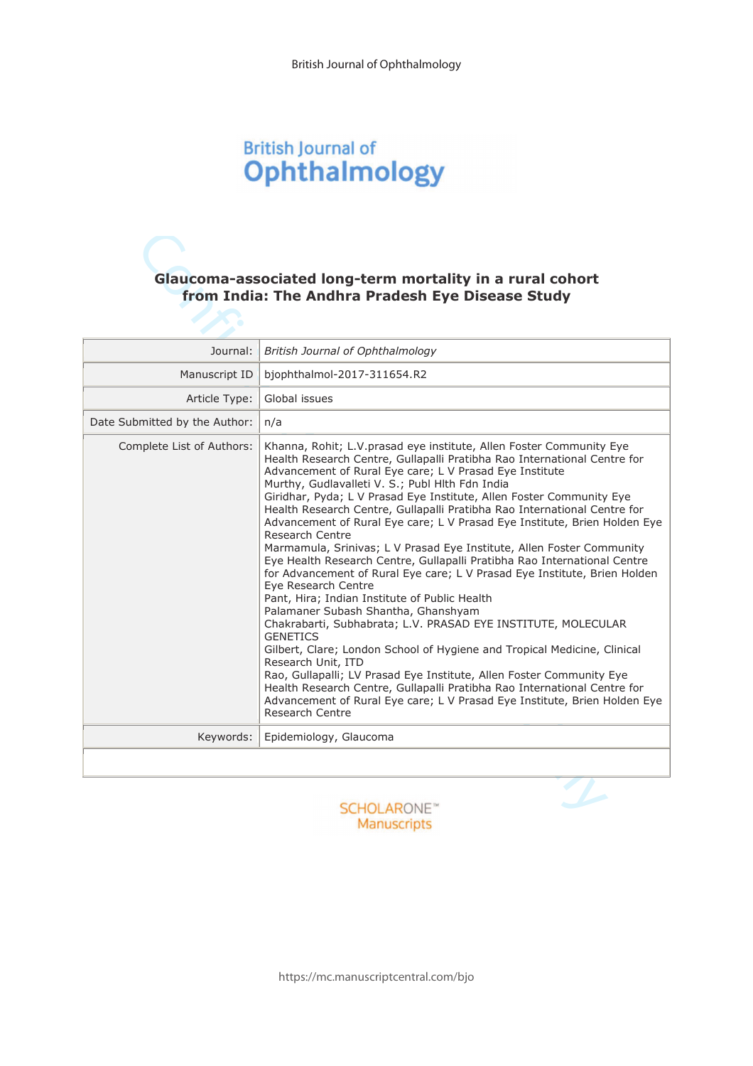# **British Journal of** Ophthalmology

# Glaucoma-associated long-term mortality in a rural cohort from India: The Andhra Pradesh Eye Disease Study

| Journal:                      | British Journal of Ophthalmology                                                                                                                                                                                                                                                                                                                                                                                                                                                                                                                                                                                                                                                                                                                                                                                                                                                                                                                                                                                                                                                                                                                                                                                                                                                                              |
|-------------------------------|---------------------------------------------------------------------------------------------------------------------------------------------------------------------------------------------------------------------------------------------------------------------------------------------------------------------------------------------------------------------------------------------------------------------------------------------------------------------------------------------------------------------------------------------------------------------------------------------------------------------------------------------------------------------------------------------------------------------------------------------------------------------------------------------------------------------------------------------------------------------------------------------------------------------------------------------------------------------------------------------------------------------------------------------------------------------------------------------------------------------------------------------------------------------------------------------------------------------------------------------------------------------------------------------------------------|
| Manuscript ID                 | bjophthalmol-2017-311654.R2                                                                                                                                                                                                                                                                                                                                                                                                                                                                                                                                                                                                                                                                                                                                                                                                                                                                                                                                                                                                                                                                                                                                                                                                                                                                                   |
| Article Type:                 | Global issues                                                                                                                                                                                                                                                                                                                                                                                                                                                                                                                                                                                                                                                                                                                                                                                                                                                                                                                                                                                                                                                                                                                                                                                                                                                                                                 |
| Date Submitted by the Author: | n/a                                                                                                                                                                                                                                                                                                                                                                                                                                                                                                                                                                                                                                                                                                                                                                                                                                                                                                                                                                                                                                                                                                                                                                                                                                                                                                           |
| Complete List of Authors:     | Khanna, Rohit; L.V. prasad eye institute, Allen Foster Community Eye<br>Health Research Centre, Gullapalli Pratibha Rao International Centre for<br>Advancement of Rural Eye care; L V Prasad Eye Institute<br>Murthy, Gudlavalleti V. S.; Publ Hith Fdn India<br>Giridhar, Pyda; L V Prasad Eye Institute, Allen Foster Community Eye<br>Health Research Centre, Gullapalli Pratibha Rao International Centre for<br>Advancement of Rural Eye care; L V Prasad Eye Institute, Brien Holden Eye<br>Research Centre<br>Marmamula, Srinivas; L V Prasad Eye Institute, Allen Foster Community<br>Eye Health Research Centre, Gullapalli Pratibha Rao International Centre<br>for Advancement of Rural Eye care; L V Prasad Eye Institute, Brien Holden<br>Eve Research Centre<br>Pant, Hira; Indian Institute of Public Health<br>Palamaner Subash Shantha, Ghanshyam<br>Chakrabarti, Subhabrata; L.V. PRASAD EYE INSTITUTE, MOLECULAR<br><b>GENETICS</b><br>Gilbert, Clare; London School of Hygiene and Tropical Medicine, Clinical<br>Research Unit, ITD<br>Rao, Gullapalli; LV Prasad Eye Institute, Allen Foster Community Eye<br>Health Research Centre, Gullapalli Pratibha Rao International Centre for<br>Advancement of Rural Eye care; L V Prasad Eye Institute, Brien Holden Eye<br>Research Centre |
| Keywords:                     | Epidemiology, Glaucoma                                                                                                                                                                                                                                                                                                                                                                                                                                                                                                                                                                                                                                                                                                                                                                                                                                                                                                                                                                                                                                                                                                                                                                                                                                                                                        |
|                               |                                                                                                                                                                                                                                                                                                                                                                                                                                                                                                                                                                                                                                                                                                                                                                                                                                                                                                                                                                                                                                                                                                                                                                                                                                                                                                               |

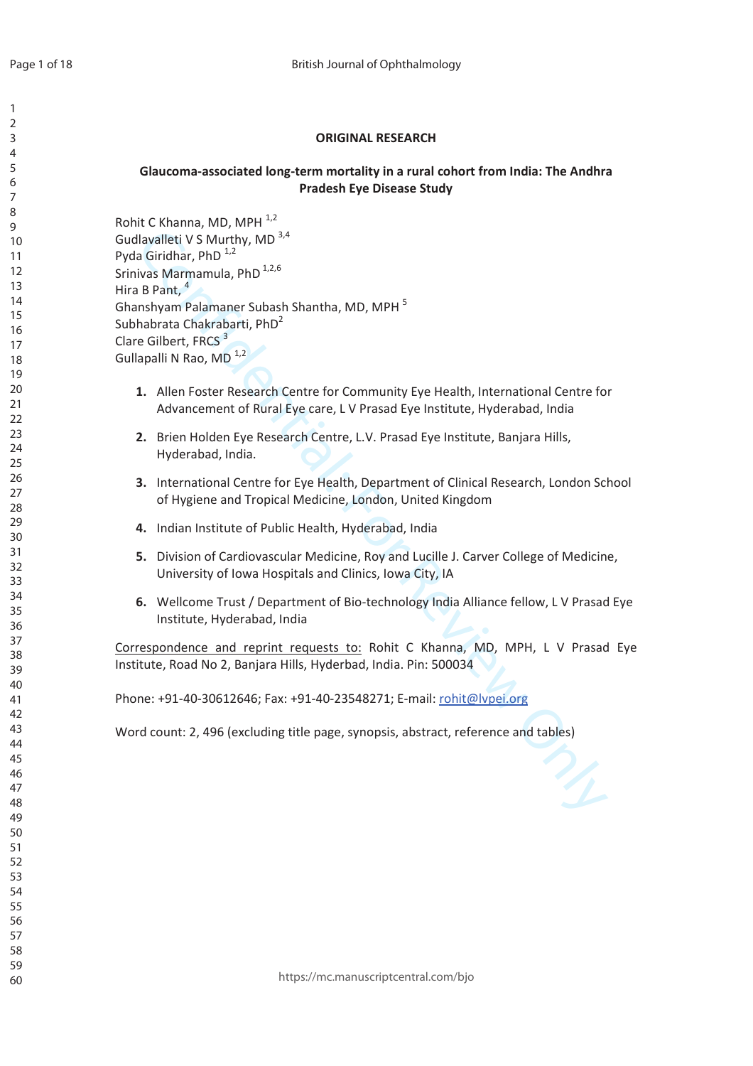$\mathbf{1}$ 

# **ORIGINAL RESEARCH**

# Glaucoma-associated long-term mortality in a rural cohort from India: The Andhra **Pradesh Eve Disease Study**

Rohit C Khanna, MD, MPH 1,2 Gudlavalleti V S Murthy, MD 3,4 Pyda Giridhar, PhD<sup>1,2</sup> Srinivas Marmamula, PhD<sup>1,2,6</sup> Hira B Pant, <sup>4</sup> Ghanshyam Palamaner Subash Shantha, MD, MPH<sup>5</sup> Subhabrata Chakrabarti, PhD<sup>2</sup> Clare Gilbert, FRCS<sup>3</sup> Gullapalli N Rao, MD<sup>1,2</sup>

- 1. Allen Foster Research Centre for Community Eye Health, International Centre for Advancement of Rural Eye care, L V Prasad Eye Institute, Hyderabad, India
- 2. Brien Holden Eye Research Centre, L.V. Prasad Eye Institute, Banjara Hills, Hyderabad, India.
- 3. International Centre for Eve Health. Department of Clinical Research. London School of Hygiene and Tropical Medicine, London, United Kingdom
- 4. Indian Institute of Public Health, Hyderabad, India
- 5. Division of Cardiovascular Medicine, Roy and Lucille J. Carver College of Medicine, University of Iowa Hospitals and Clinics, Iowa City, IA
- 6. Wellcome Trust / Department of Bio-technology India Alliance fellow, L V Prasad Eye Institute, Hyderabad, India

 $\mathcal{V}_1$ 

Correspondence and reprint requests to: Rohit C Khanna, MD, MPH, L V Prasad Eye Institute, Road No 2, Banjara Hills, Hyderbad, India. Pin: 500034

Phone: +91-40-30612646; Fax: +91-40-23548271; E-mail: rohit@lypei.org

Word count: 2, 496 (excluding title page, synopsis, abstract, reference and tables)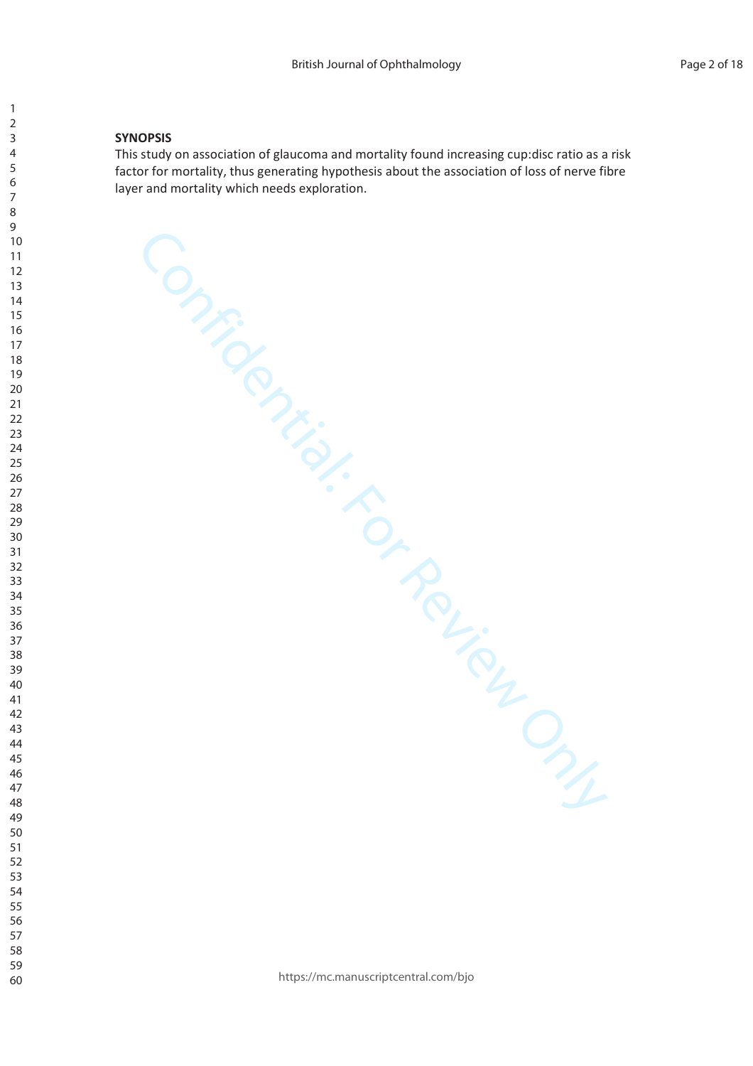#### **SYNOPSIS**

This study on association of glaucoma and mortality found increasing cup:disc ratio as a risk factor for mortality, thus generating hypothesis about the association of loss of nerve fibre layer and mortality which needs exploration.

Confidential: For Review Only

https://mc.manuscriptcentral.com/bjo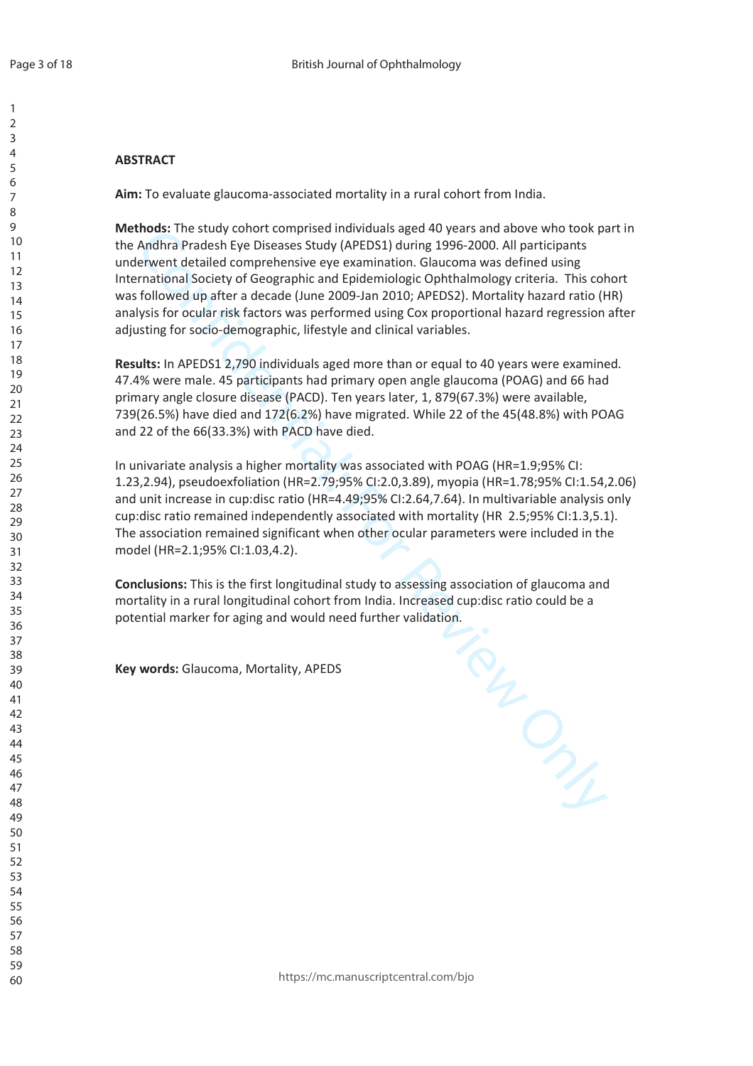# $\overline{ABSTRACT}$

Aim: To evaluate glaucoma-associated mortality in a rural cohort from India.

Methods: The study cohort comprised individuals aged 40 years and above who took part in the Andhra Pradesh Eye Diseases Study (APEDS1) during 1996-2000. All participants underwent detailed comprehensive eye examination. Glaucoma was defined using International Society of Geographic and Epidemiologic Ophthalmology criteria. This cohort was followed up after a decade (June 2009-Jan 2010; APEDS2). Mortality hazard ratio (HR) analysis for ocular risk factors was performed using Cox proportional hazard regression after adjusting for socio-demographic, lifestyle and clinical variables.

Results: In APEDS1 2,790 individuals aged more than or equal to 40 years were examined. 47.4% were male. 45 participants had primary open angle glaucoma (POAG) and 66 had primary angle closure disease (PACD). Ten years later, 1, 879(67.3%) were available, 739(26.5%) have died and 172(6.2%) have migrated. While 22 of the 45(48.8%) with POAG and 22 of the 66(33.3%) with PACD have died.

In univariate analysis a higher mortality was associated with POAG (HR=1.9;95% CI: 1.23,2.94), pseudoexfoliation (HR=2.79;95% CI:2.0,3.89), myopia (HR=1.78;95% CI:1.54,2.06) and unit increase in cup:disc ratio (HR=4.49;95% CI:2.64,7.64). In multivariable analysis only cup:disc ratio remained independently associated with mortality (HR  $2.5;95\%$  Cl:1.3,5.1). The association remained significant when other ocular parameters were included in the model (HR=2.1;95% CI:1.03,4.2).

**Conclusions: This is the first longitudinal study to assessing association of glaucoma and** mortality in a rural longitudinal cohort from India. Increased cup:disc ratio could be a potential marker for aging and would need further validation.

TRU DIS

**Key words: Glaucoma, Mortality, APEDS**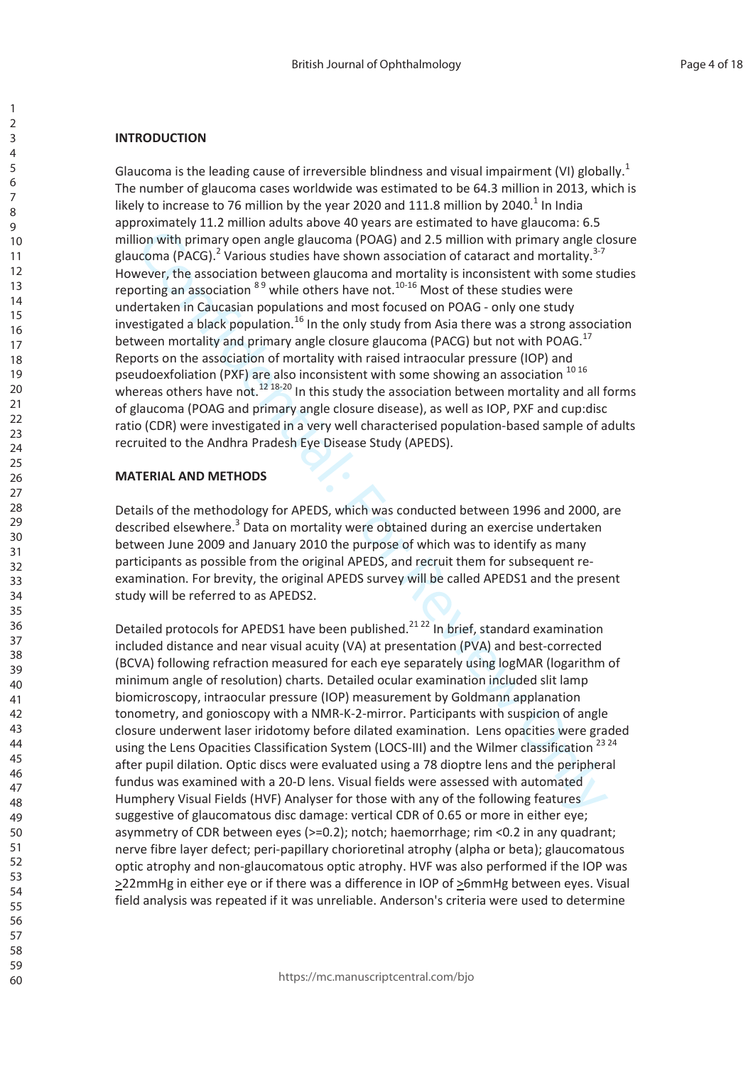#### **INTRODUCTION**

Glaucoma is the leading cause of irreversible blindness and visual impairment (VI) globally.<sup>1</sup> The number of glaucoma cases worldwide was estimated to be 64.3 million in 2013, which is likely to increase to 76 million by the year 2020 and 111.8 million by 2040.<sup>1</sup> In India approximately 11.2 million adults above 40 years are estimated to have glaucoma: 6.5 million with primary open angle glaucoma (POAG) and 2.5 million with primary angle closure glaucoma (PACG).<sup>2</sup> Various studies have shown association of cataract and mortality.<sup>3-7</sup> However, the association between glaucoma and mortality is inconsistent with some studies reporting an association  $89$  while others have not.<sup>10-16</sup> Most of these studies were undertaken in Caucasian populations and most focused on POAG - only one study investigated a black population.<sup>16</sup> In the only study from Asia there was a strong association between mortality and primary angle closure glaucoma (PACG) but not with POAG.<sup>17</sup> Reports on the association of mortality with raised intraocular pressure (IOP) and pseudoexfoliation (PXF) are also inconsistent with some showing an association 10 16 whereas others have not.<sup>12 18-20</sup> In this study the association between mortality and all forms of glaucoma (POAG and primary angle closure disease), as well as IOP, PXF and cup:disc ratio (CDR) were investigated in a very well characterised population-based sample of adults recruited to the Andhra Pradesh Eye Disease Study (APEDS).

## **MATERIAL AND METHODS**

Details of the methodology for APEDS, which was conducted between 1996 and 2000, are described elsewhere.<sup>3</sup> Data on mortality were obtained during an exercise undertaken between June 2009 and January 2010 the purpose of which was to identify as many participants as possible from the original APEDS, and recruit them for subsequent reexamination. For brevity, the original APEDS survey will be called APEDS1 and the present study will be referred to as APEDS2.

Detailed protocols for APEDS1 have been published.<sup>2122</sup> In brief, standard examination included distance and near visual acuity (VA) at presentation (PVA) and best-corrected (BCVA) following refraction measured for each eye separately using logMAR (logarithm of minimum angle of resolution) charts. Detailed ocular examination included slit lamp biomicroscopy, intraocular pressure (IOP) measurement by Goldmann applanation tonometry, and gonioscopy with a NMR-K-2-mirror. Participants with suspicion of angle closure underwent laser iridotomy before dilated examination. Lens opacities were graded using the Lens Opacities Classification System (LOCS-III) and the Wilmer classification<sup>2324</sup> after pupil dilation. Optic discs were evaluated using a 78 dioptre lens and the peripheral fundus was examined with a 20-D lens. Visual fields were assessed with automated Humphery Visual Fields (HVF) Analyser for those with any of the following features suggestive of glaucomatous disc damage: vertical CDR of 0.65 or more in either eye; asymmetry of CDR between eyes (>=0.2); notch; haemorrhage; rim <0.2 in any quadrant; nerve fibre layer defect; peri-papillary chorioretinal atrophy (alpha or beta); glaucomatous optic atrophy and non-glaucomatous optic atrophy. HVF was also performed if the IOP was >22mmHg in either eye or if there was a difference in IOP of >6mmHg between eyes. Visual field analysis was repeated if it was unreliable. Anderson's criteria were used to determine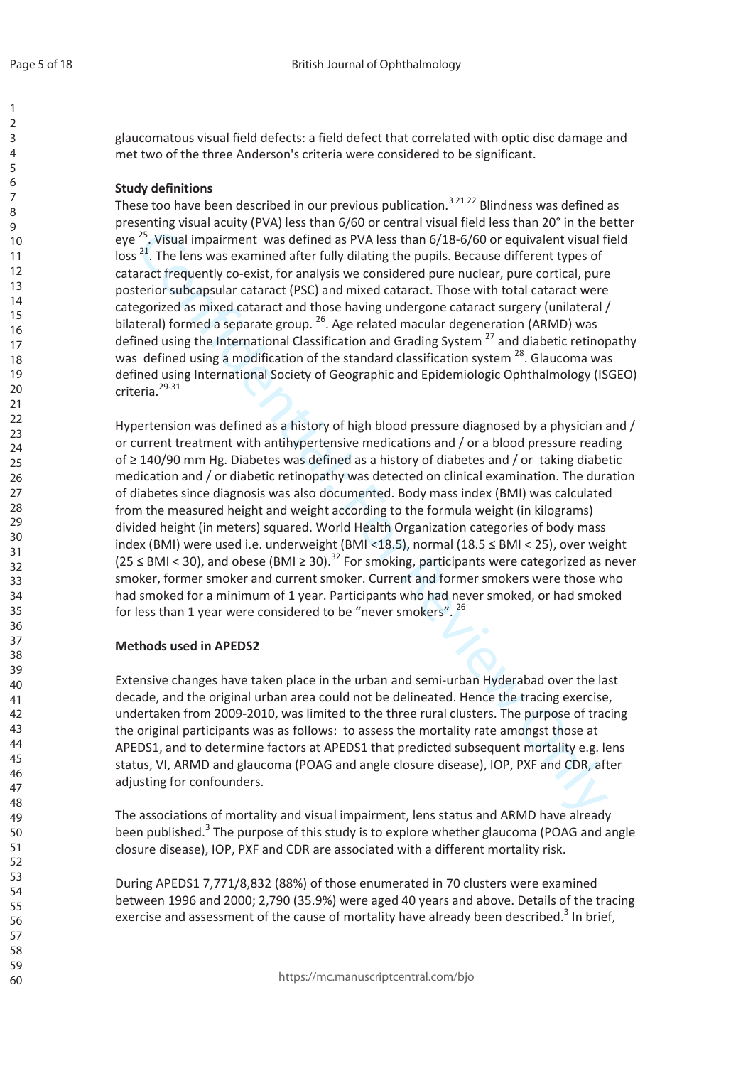glaucomatous visual field defects: a field defect that correlated with optic disc damage and met two of the three Anderson's criteria were considered to be significant.

#### **Study definitions**

These too have been described in our previous publication.<sup>32122</sup> Blindness was defined as presenting visual acuity (PVA) less than 6/60 or central visual field less than 20° in the better eye<sup>25</sup>. Visual impairment was defined as PVA less than 6/18-6/60 or equivalent visual field loss<sup>21</sup>. The lens was examined after fully dilating the pupils. Because different types of cataract frequently co-exist, for analysis we considered pure nuclear, pure cortical, pure posterior subcapsular cataract (PSC) and mixed cataract. Those with total cataract were categorized as mixed cataract and those having undergone cataract surgery (unilateral / bilateral) formed a separate group. <sup>26</sup>. Age related macular degeneration (ARMD) was defined using the International Classification and Grading System<sup>27</sup> and diabetic retinopathy was defined using a modification of the standard classification system <sup>28</sup>. Glaucoma was defined using International Society of Geographic and Epidemiologic Ophthalmology (ISGEO) criteria.<sup>29-31</sup>

Hypertension was defined as a history of high blood pressure diagnosed by a physician and / or current treatment with antihypertensive medications and / or a blood pressure reading of  $\geq$  140/90 mm Hg. Diabetes was defined as a history of diabetes and / or taking diabetic medication and / or diabetic retinopathy was detected on clinical examination. The duration of diabetes since diagnosis was also documented. Body mass index (BMI) was calculated from the measured height and weight according to the formula weight (in kilograms) divided height (in meters) squared. World Health Organization categories of body mass index (BMI) were used i.e. underweight (BMI <18.5), normal (18.5 ≤ BMI < 25), over weight  $(25 \leq BMI < 30)$ , and obese (BMI  $\geq 30$ ).<sup>32</sup> For smoking, participants were categorized as never smoker, former smoker and current smoker. Current and former smokers were those who had smoked for a minimum of 1 year. Participants who had never smoked, or had smoked for less than 1 year were considered to be "never smokers". 26

#### **Methods used in APEDS2**

Extensive changes have taken place in the urban and semi-urban Hyderabad over the last decade, and the original urban area could not be delineated. Hence the tracing exercise, undertaken from 2009-2010, was limited to the three rural clusters. The purpose of tracing the original participants was as follows: to assess the mortality rate amongst those at APEDS1, and to determine factors at APEDS1 that predicted subsequent mortality e.g. lens status, VI, ARMD and glaucoma (POAG and angle closure disease), IOP, PXF and CDR, after adjusting for confounders.

The associations of mortality and visual impairment, lens status and ARMD have already been published.<sup>3</sup> The purpose of this study is to explore whether glaucoma (POAG and angle closure disease), IOP, PXF and CDR are associated with a different mortality risk.

During APEDS1 7,771/8,832 (88%) of those enumerated in 70 clusters were examined between 1996 and 2000; 2,790 (35.9%) were aged 40 years and above. Details of the tracing exercise and assessment of the cause of mortality have already been described.<sup>3</sup> In brief,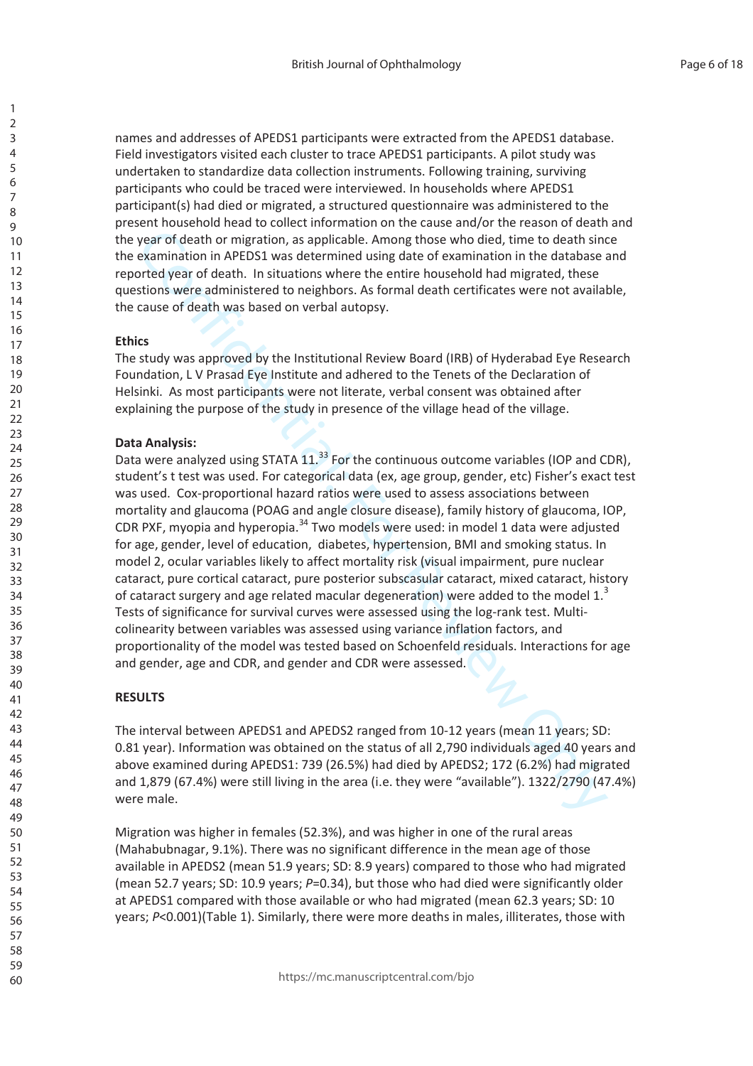names and addresses of APEDS1 participants were extracted from the APEDS1 database. Field investigators visited each cluster to trace APEDS1 participants. A pilot study was undertaken to standardize data collection instruments. Following training, surviving participants who could be traced were interviewed. In households where APEDS1 participant(s) had died or migrated, a structured questionnaire was administered to the present household head to collect information on the cause and/or the reason of death and the year of death or migration, as applicable. Among those who died, time to death since the examination in APEDS1 was determined using date of examination in the database and reported year of death. In situations where the entire household had migrated, these questions were administered to neighbors. As formal death certificates were not available, the cause of death was based on verbal autopsy.

#### **Ethics**

The study was approved by the Institutional Review Board (IRB) of Hyderabad Eye Research Foundation, L V Prasad Eye Institute and adhered to the Tenets of the Declaration of Helsinki. As most participants were not literate, verbal consent was obtained after explaining the purpose of the study in presence of the village head of the village.

#### **Data Analysis:**

year of death or migration, as applicable. Among those who died, time to death sincomentation in APEDS1 was determined using date of examination in the database in the constrainant of the system in the constrained using da Data were analyzed using STATA  $11.^{33}$  For the continuous outcome variables (IOP and CDR), student's t test was used. For categorical data (ex, age group, gender, etc) Fisher's exact test was used. Cox-proportional hazard ratios were used to assess associations between mortality and glaucoma (POAG and angle closure disease), family history of glaucoma, IOP, CDR PXF, myopia and hyperopia.<sup>34</sup> Two models were used: in model 1 data were adjusted for age, gender, level of education, diabetes, hypertension, BMI and smoking status. In model 2, ocular variables likely to affect mortality risk (visual impairment, pure nuclear cataract, pure cortical cataract, pure posterior subscasular cataract, mixed cataract, history of cataract surgery and age related macular degeneration) were added to the model  $1.^3$ Tests of significance for survival curves were assessed using the log-rank test. Multicolinearity between variables was assessed using variance inflation factors, and proportionality of the model was tested based on Schoenfeld residuals. Interactions for age and gender, age and CDR, and gender and CDR were assessed.

#### **RESULTS**

The interval between APEDS1 and APEDS2 ranged from 10-12 years (mean 11 years; SD: 0.81 year). Information was obtained on the status of all 2,790 individuals aged 40 years and above examined during APEDS1: 739 (26.5%) had died by APEDS2; 172 (6.2%) had migrated and 1,879 (67.4%) were still living in the area (i.e. they were "available"). 1322/2790 (47.4%) were male.

Migration was higher in females (52.3%), and was higher in one of the rural areas (Mahabubnagar, 9.1%). There was no significant difference in the mean age of those available in APEDS2 (mean 51.9 years; SD: 8.9 years) compared to those who had migrated (mean 52.7 years; SD: 10.9 years;  $P=0.34$ ), but those who had died were significantly older at APEDS1 compared with those available or who had migrated (mean 62.3 years; SD: 10 years;  $P<0.001$ )(Table 1). Similarly, there were more deaths in males, illiterates, those with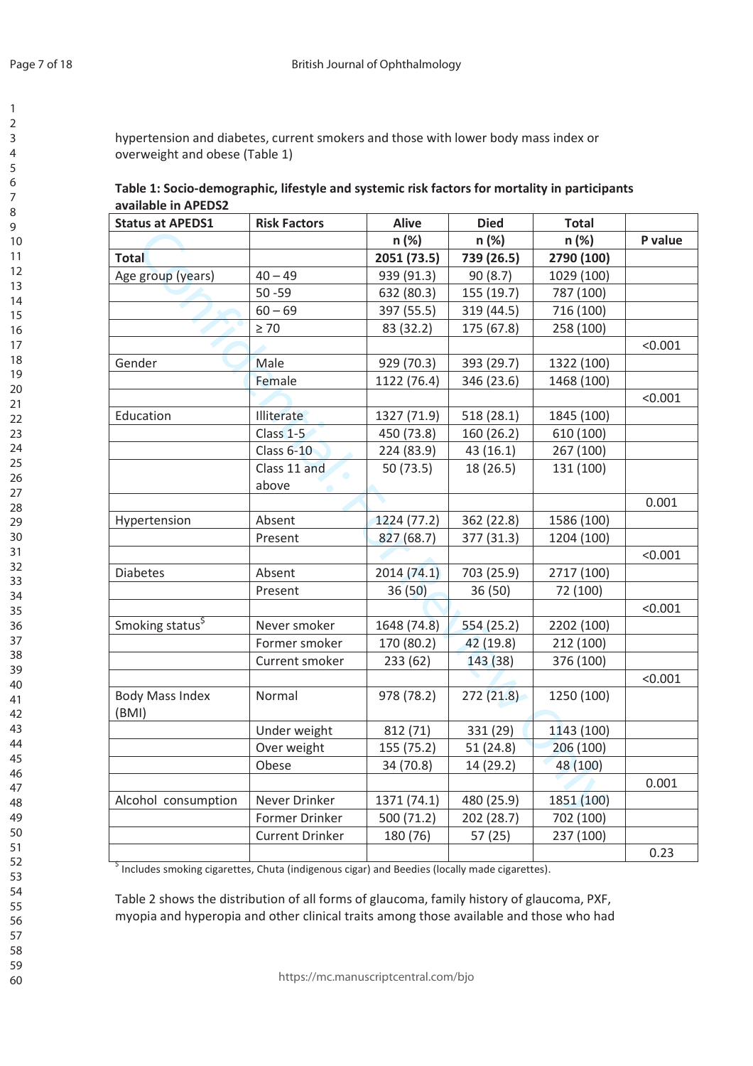hypertension and diabetes, current smokers and those with lower body mass index or overweight and obese (Table 1)

| Table 1: Socio-demographic, lifestyle and systemic risk factors for mortality in participants |
|-----------------------------------------------------------------------------------------------|
| available in APEDS2                                                                           |

| <b>Status at APEDS1</b>         | <b>Risk Factors</b>       | <b>Alive</b> | <b>Died</b> | <b>Total</b> |         |
|---------------------------------|---------------------------|--------------|-------------|--------------|---------|
|                                 |                           | n (%)        | n (%)       | n (%)        | P value |
| <b>Total</b>                    |                           | 2051 (73.5)  | 739 (26.5)  | 2790 (100)   |         |
| Age group (years)               | $40 - 49$                 | 939 (91.3)   | 90(8.7)     | 1029 (100)   |         |
|                                 | $50 - 59$                 | 632 (80.3)   | 155 (19.7)  | 787 (100)    |         |
|                                 | $60 - 69$                 | 397 (55.5)   | 319 (44.5)  | 716 (100)    |         |
|                                 | $\geq 70$                 | 83 (32.2)    | 175 (67.8)  | 258 (100)    |         |
|                                 |                           |              |             |              | < 0.001 |
| Gender                          | Male                      | 929 (70.3)   | 393 (29.7)  | 1322 (100)   |         |
|                                 | Female                    | 1122 (76.4)  | 346 (23.6)  | 1468 (100)   |         |
|                                 |                           |              |             |              | < 0.001 |
| Education                       | Illiterate                | 1327 (71.9)  | 518 (28.1)  | 1845 (100)   |         |
|                                 | Class <sub>1-5</sub>      | 450 (73.8)   | 160 (26.2)  | 610 (100)    |         |
|                                 | <b>Class 6-10</b>         | 224 (83.9)   | 43 (16.1)   | 267 (100)    |         |
|                                 | Class 11 and<br>$\bullet$ | 50(73.5)     | 18 (26.5)   | 131 (100)    |         |
|                                 | above                     |              |             |              |         |
|                                 |                           |              |             |              | 0.001   |
| Hypertension                    | Absent                    | 1224 (77.2)  | 362 (22.8)  | 1586 (100)   |         |
|                                 | Present                   | 827(68.7)    | 377 (31.3)  | 1204 (100)   |         |
|                                 |                           |              |             |              | < 0.001 |
| <b>Diabetes</b>                 | Absent                    | 2014(74.1)   | 703 (25.9)  | 2717 (100)   |         |
|                                 | Present                   | 36(50)       | 36(50)      | 72 (100)     |         |
|                                 |                           |              |             |              | < 0.001 |
| Smoking status <sup>\$</sup>    | Never smoker              | 1648 (74.8)  | 554 (25.2)  | 2202 (100)   |         |
|                                 | Former smoker             | 170 (80.2)   | 42 (19.8)   | 212 (100)    |         |
|                                 | Current smoker            | 233 (62)     | 143 (38)    | 376 (100)    |         |
|                                 |                           |              |             |              | < 0.001 |
| <b>Body Mass Index</b><br>(BMI) | Normal                    | 978 (78.2)   | 272(21.8)   | 1250 (100)   |         |
|                                 | Under weight              | 812 (71)     | 331 (29)    | 1143 (100)   |         |
|                                 | Over weight               | 155 (75.2)   | 51 (24.8)   | 206 (100)    |         |
|                                 | Obese                     | 34 (70.8)    | 14 (29.2)   | 48 (100)     |         |
|                                 |                           |              |             |              | 0.001   |
| Alcohol consumption             | Never Drinker             | 1371 (74.1)  | 480 (25.9)  | 1851 (100)   |         |
|                                 | Former Drinker            | 500 (71.2)   | 202 (28.7)  | 702 (100)    |         |
|                                 | <b>Current Drinker</b>    | 180 (76)     | 57(25)      | 237 (100)    |         |
|                                 |                           |              |             |              | 0.23    |

<sup>\$</sup> Includes smoking cigarettes, Chuta (indigenous cigar) and Beedies (locally made cigarettes).

Table 2 shows the distribution of all forms of glaucoma, family history of glaucoma, PXF, myopia and hyperopia and other clinical traits among those available and those who had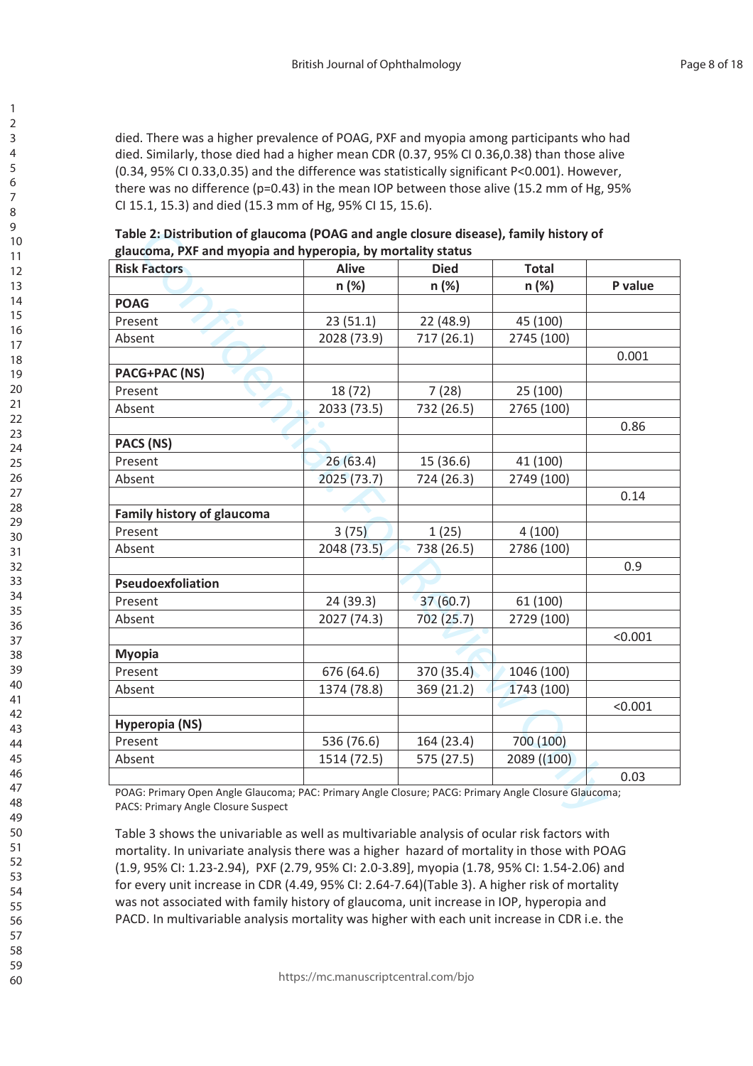died. There was a higher prevalence of POAG, PXF and myopia among participants who had died. Similarly, those died had a higher mean CDR (0.37, 95% CI 0.36,0.38) than those alive (0.34, 95% CI 0.33,0.35) and the difference was statistically significant P<0.001). However, there was no difference ( $p=0.43$ ) in the mean IOP between those alive (15.2 mm of Hg, 95% Cl 15.1, 15.3) and died (15.3 mm of Hg, 95% Cl 15, 15.6).

Table 2: Distribution of glaucoma (POAG and angle closure disease), family history of glaucoma, PXF and myopia and hyperopia, by mortality status

| <b>Risk Factors</b>        | <b>Alive</b> | <b>Died</b> | <b>Total</b> |         |
|----------------------------|--------------|-------------|--------------|---------|
|                            | n (%)        | n (%)       | n (%)        | P value |
| <b>POAG</b>                |              |             |              |         |
| Present                    | 23(51.1)     | 22 (48.9)   | 45 (100)     |         |
| Absent                     | 2028 (73.9)  | 717 (26.1)  | 2745 (100)   |         |
|                            |              |             |              | 0.001   |
| <b>PACG+PAC (NS)</b>       |              |             |              |         |
| Present                    | 18 (72)      | 7(28)       | 25 (100)     |         |
| Absent                     | 2033 (73.5)  | 732 (26.5)  | 2765 (100)   |         |
|                            |              |             |              | 0.86    |
| PACS (NS)                  |              |             |              |         |
| Present                    | 26(63.4)     | 15 (36.6)   | 41 (100)     |         |
| Absent                     | 2025 (73.7)  | 724 (26.3)  | 2749 (100)   |         |
|                            |              |             |              | 0.14    |
| Family history of glaucoma |              |             |              |         |
| Present                    | 3(75)        | 1(25)       | 4(100)       |         |
| Absent                     | 2048 (73.5)  | 738 (26.5)  | 2786 (100)   |         |
|                            |              |             |              | 0.9     |
| Pseudoexfoliation          |              |             |              |         |
| Present                    | 24 (39.3)    | 37(60.7)    | 61 (100)     |         |
| Absent                     | 2027 (74.3)  | 702 (25.7)  | 2729 (100)   |         |
|                            |              |             |              | < 0.001 |
| <b>Myopia</b>              |              |             |              |         |
| Present                    | 676 (64.6)   | 370 (35.4)  | 1046 (100)   |         |
| Absent                     | 1374 (78.8)  | 369 (21.2)  | 1743 (100)   |         |
|                            |              |             |              | < 0.001 |
| <b>Hyperopia (NS)</b>      |              |             |              |         |
| Present                    | 536 (76.6)   | 164 (23.4)  | 700 (100)    |         |
| Absent                     | 1514 (72.5)  | 575 (27.5)  | 2089 ((100)  |         |
|                            |              |             |              | 0.03    |

POAG: Primary Open Angle Glaucoma; PAC: Primary Angle Closure; PACG: Primary Angle Closure Glaucoma; PACS: Primary Angle Closure Suspect

Table 3 shows the univariable as well as multivariable analysis of ocular risk factors with mortality. In univariate analysis there was a higher hazard of mortality in those with POAG (1.9, 95% CI: 1.23-2.94), PXF (2.79, 95% CI: 2.0-3.89], myopia (1.78, 95% CI: 1.54-2.06) and for every unit increase in CDR (4.49, 95% CI: 2.64-7.64)(Table 3). A higher risk of mortality was not associated with family history of glaucoma, unit increase in IOP, hyperopia and PACD. In multivariable analysis mortality was higher with each unit increase in CDR i.e. the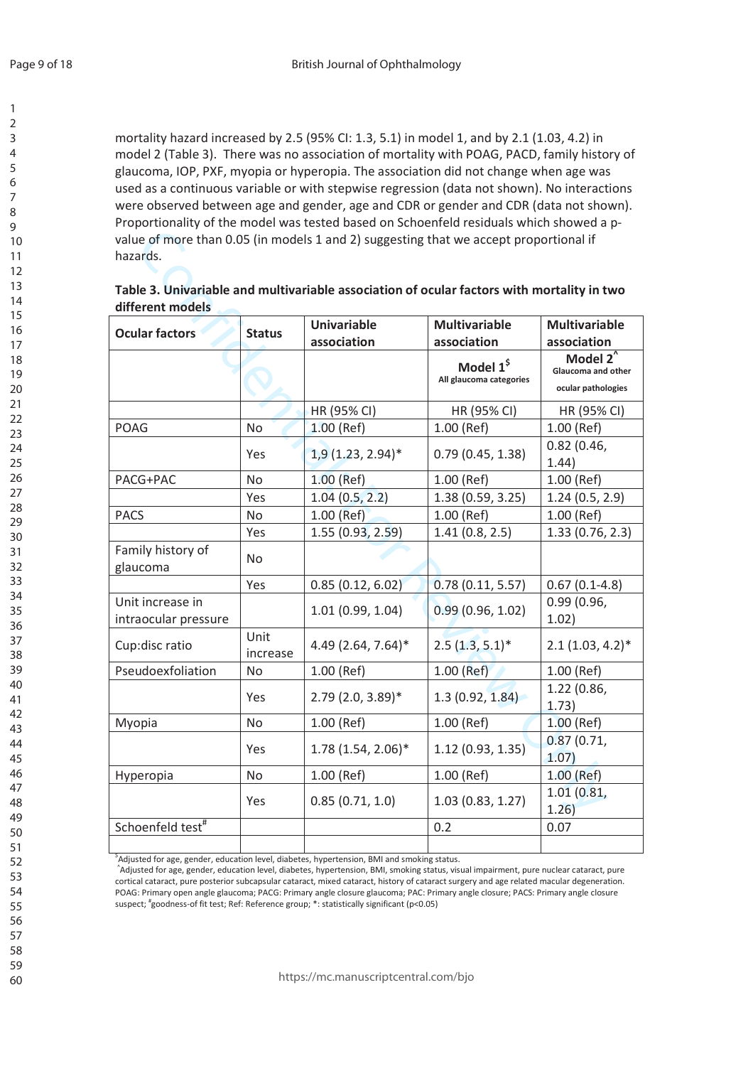mortality hazard increased by 2.5 (95% CI: 1.3, 5.1) in model 1, and by 2.1 (1.03, 4.2) in model 2 (Table 3). There was no association of mortality with POAG, PACD, family history of glaucoma, IOP, PXF, myopia or hyperopia. The association did not change when age was used as a continuous variable or with stepwise regression (data not shown). No interactions were observed between age and gender, age and CDR or gender and CDR (data not shown). Proportionality of the model was tested based on Schoenfeld residuals which showed a pvalue of more than 0.05 (in models 1 and 2) suggesting that we accept proportional if hazards.

| Table 3. Univariable and multivariable association of ocular factors with mortality in two |  |
|--------------------------------------------------------------------------------------------|--|
| different models                                                                           |  |

| <b>Ocular factors</b>                    | <b>Status</b>    | <b>Univariable</b>   | <b>Multivariable</b>                             | <b>Multivariable</b>                                                       |
|------------------------------------------|------------------|----------------------|--------------------------------------------------|----------------------------------------------------------------------------|
|                                          |                  | association          | association                                      | association                                                                |
|                                          |                  |                      | Model 1 <sup>\$</sup><br>All glaucoma categories | Model $2^{\overline{}}$<br><b>Glaucoma and other</b><br>ocular pathologies |
|                                          |                  | HR (95% CI)          | HR (95% CI)                                      | HR (95% CI)                                                                |
| <b>POAG</b>                              | <b>No</b>        | $1.00$ (Ref)         | 1.00 (Ref)                                       | $1.00$ (Ref)                                                               |
|                                          | Yes              | $1,9(1.23, 2.94)$ *  | 0.79(0.45, 1.38)                                 | 0.82(0.46,<br>1.44)                                                        |
| PACG+PAC                                 | No               | 1.00 (Ref)           | 1.00 (Ref)                                       | 1.00 (Ref)                                                                 |
|                                          | Yes              | 1.04(0.5, 2.2)       | 1.38(0.59, 3.25)                                 | 1.24(0.5, 2.9)                                                             |
| <b>PACS</b>                              | <b>No</b>        | 1.00 (Ref)           | $1.00$ (Ref)                                     | 1.00 (Ref)                                                                 |
|                                          | Yes              | 1.55(0.93, 2.59)     | 1.41(0.8, 2.5)                                   | 1.33(0.76, 2.3)                                                            |
| Family history of<br>glaucoma            | No               |                      |                                                  |                                                                            |
|                                          | Yes              | 0.85(0.12, 6.02)     | 0.78(0.11, 5.57)                                 | $0.67(0.1-4.8)$                                                            |
| Unit increase in<br>intraocular pressure |                  | 1.01(0.99, 1.04)     | 0.99(0.96, 1.02)                                 | 0.99(0.96,<br>1.02)                                                        |
| Cup:disc ratio                           | Unit<br>increase | 4.49 (2.64, 7.64)*   | $2.5(1.3, 5.1)^*$                                | $2.1(1.03, 4.2)^*$                                                         |
| Pseudoexfoliation                        | No               | $1.00$ (Ref)         | $1.00$ (Ref)                                     | 1.00 (Ref)                                                                 |
|                                          | Yes              | $2.79$ (2.0, 3.89)*  | 1.3(0.92, 1.84)                                  | 1.22(0.86,<br>1.73)                                                        |
| Myopia                                   | No               | 1.00 (Ref)           | 1.00 (Ref)                                       | 1.00 (Ref)                                                                 |
|                                          | Yes              | $1.78(1.54, 2.06)^*$ | 1.12(0.93, 1.35)                                 | 0.87(0.71,<br>1.07)                                                        |
| Hyperopia                                | <b>No</b>        | $1.00$ (Ref)         | 1.00 (Ref)                                       | $1.00$ (Ref)                                                               |
|                                          | Yes              | 0.85(0.71, 1.0)      | 1.03(0.83, 1.27)                                 | 1.01(0.81,<br>1.26)                                                        |
| Schoenfeld test <sup>#</sup>             |                  |                      | 0.2                                              | 0.07                                                                       |
|                                          |                  |                      |                                                  |                                                                            |

<sup>\$</sup>Adjusted for age, gender, education level, diabetes, hypertension, BMI and smoking status.

^Adjusted for age, gender, education level, diabetes, hypertension, BMI, smoking status, visual impairment, pure nuclear cataract, pure cortical cataract, pure posterior subcapsular cataract, mixed cataract, history of cataract surgery and age related macular degeneration. POAG: Primary open angle glaucoma; PACG: Primary angle closure glaucoma; PAC: Primary angle closure; PACS: Primary angle closure suspect; "goodness-of fit test; Ref: Reference group; \*: statistically significant (p<0.05)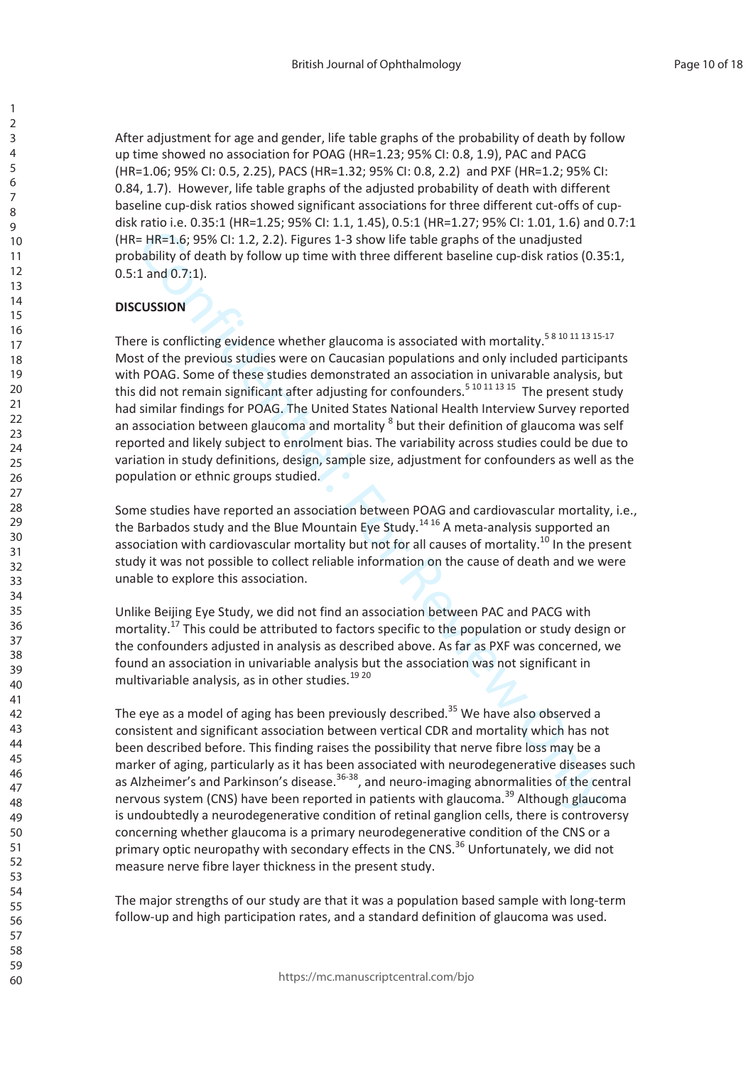After adjustment for age and gender, life table graphs of the probability of death by follow up time showed no association for POAG (HR=1.23; 95% CI: 0.8, 1.9), PAC and PACG (HR=1.06; 95% CI: 0.5, 2.25), PACS (HR=1.32; 95% CI: 0.8, 2.2) and PXF (HR=1.2; 95% CI: 0.84, 1.7). However, life table graphs of the adjusted probability of death with different baseline cup-disk ratios showed significant associations for three different cut-offs of cupdisk ratio i.e. 0.35:1 (HR=1.25; 95% CI: 1.1, 1.45), 0.5:1 (HR=1.27; 95% CI: 1.01, 1.6) and 0.7:1 (HR= HR=1.6; 95% CI: 1.2, 2.2). Figures 1-3 show life table graphs of the unadjusted probability of death by follow up time with three different baseline cup-disk ratios (0.35:1,  $0.5:1$  and  $0.7:1$ ).

## **DISCUSSION**

There is conflicting evidence whether glaucoma is associated with mortality.<sup>5810111315-17</sup> Most of the previous studies were on Caucasian populations and only included participants with POAG. Some of these studies demonstrated an association in univarable analysis, but this did not remain significant after adjusting for confounders.<sup>5 10 11 13 15</sup> The present study had similar findings for POAG. The United States National Health Interview Survey reported an association between glaucoma and mortality <sup>8</sup> but their definition of glaucoma was self reported and likely subject to enrolment bias. The variability across studies could be due to variation in study definitions, design, sample size, adjustment for confounders as well as the population or ethnic groups studied.

Some studies have reported an association between POAG and cardiovascular mortality, i.e., the Barbados study and the Blue Mountain Eye Study.<sup>1416</sup> A meta-analysis supported an association with cardiovascular mortality but not for all causes of mortality.<sup>10</sup> In the present study it was not possible to collect reliable information on the cause of death and we were unable to explore this association.

Unlike Beijing Eye Study, we did not find an association between PAC and PACG with mortality.<sup>17</sup> This could be attributed to factors specific to the population or study design or the confounders adjusted in analysis as described above. As far as PXF was concerned, we found an association in univariable analysis but the association was not significant in multivariable analysis, as in other studies.<sup>19 20</sup>

The eye as a model of aging has been previously described.<sup>35</sup> We have also observed a consistent and significant association between vertical CDR and mortality which has not been described before. This finding raises the possibility that nerve fibre loss may be a marker of aging, particularly as it has been associated with neurodegenerative diseases such as Alzheimer's and Parkinson's disease.<sup>36-38</sup>, and neuro-imaging abnormalities of the central nervous system (CNS) have been reported in patients with glaucoma.<sup>39</sup> Although glaucoma is undoubtedly a neurodegenerative condition of retinal ganglion cells, there is controversy concerning whether glaucoma is a primary neurodegenerative condition of the CNS or a primary optic neuropathy with secondary effects in the CNS.<sup>36</sup> Unfortunately, we did not measure nerve fibre laver thickness in the present study.

The major strengths of our study are that it was a population based sample with long-term follow-up and high participation rates, and a standard definition of glaucoma was used.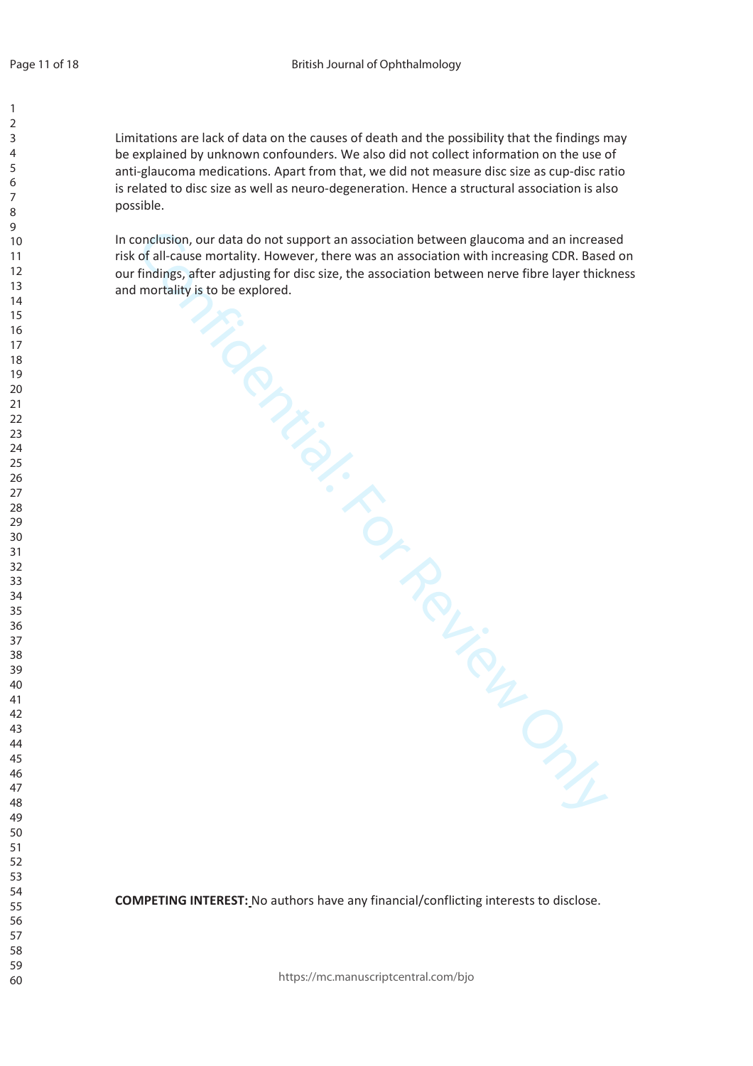Limitations are lack of data on the causes of death and the possibility that the findin gs may be explained by unknown confounders. We also did not collect information on the use of anti-glaucoma medications. Apart from that, we did not measure disc size as cup-disc ratio is related to disc size as well as neuro-degeneration. Hence a structural association is also possible.

onclusion, our data do not support an association between glaucoma and an increase<br>dial-cause mortality. However, there was an association between fluid increasing CDR. Base<br>findings, siter adjusting for disc size, the ass In conclusion, our data do not support an association between glaucoma and an increased risk of all-cause mortality. However, there was an association with increasing CDR. Based on our findings, after adjusting for disc size, the association between nerve fibre layer thickness and mortality is to be explored.

COMPETING INTEREST: No authors have any financial/conflicting interests to disclose.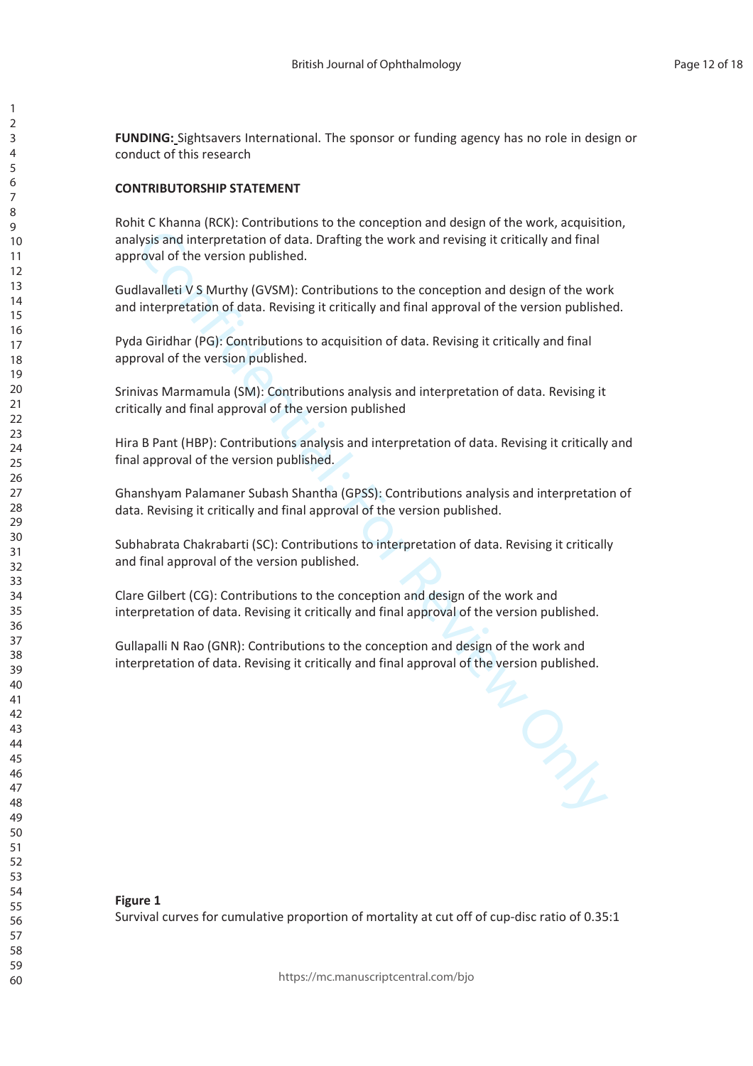FUNDING: Sightsavers International. The sponsor or funding agency has no role in design or conduct of this research

#### **CONTRIBUTORSHIP STATEMENT**

lysis and interpretation of data. Drafting the work and revising it critically and final<br>travalleti V S Murthy (GVSM): Contributions to the conception and design of the work<br>interpretation of data. Revising it critically a Rohit C Khanna (RCK): Contributions to the conception and design of the work, acquisition, analysis and interpretation of data. Drafting the work and revising it critically and final approval of the version published.

Gudlavalleti V S Murthy (GVSM): Contributions to the conception and design of the work and interpretation of data. Revising it critically and final approval of the version published.

Pyda Giridhar (PG): Contributions to acquisition of data. Revising it critically and final approval of the version published.

Srinivas Marmamula (SM): Contributions analysis and interpretation of data. Revising it critically and final approval of the version published

Hira B Pant (HBP): Contributions analysis and interpretation of data. Revising it critically and final approval of the version published.

Ghanshyam Palamaner Subash Shantha (GPSS): Contributions analysis and interpretation of data. Revising it critically and final approval of the version published.

Subhabrata Chakrabarti (SC): Contributions to interpretation of data. Revising it critically and final approval of the version published.

Clare Gilbert (CG): Contributions to the conception and design of the work and interpretation of data. Revising it critically and final approval of the version published.

Gullapalli N Rao (GNR): Contributions to the conception and design of the work and interpretation of data. Revising it critically and final approval of the version published.

**Figure 1** 

Survival curves for cumulative proportion of mortality at cut off of cup-disc ratio of 0.35:1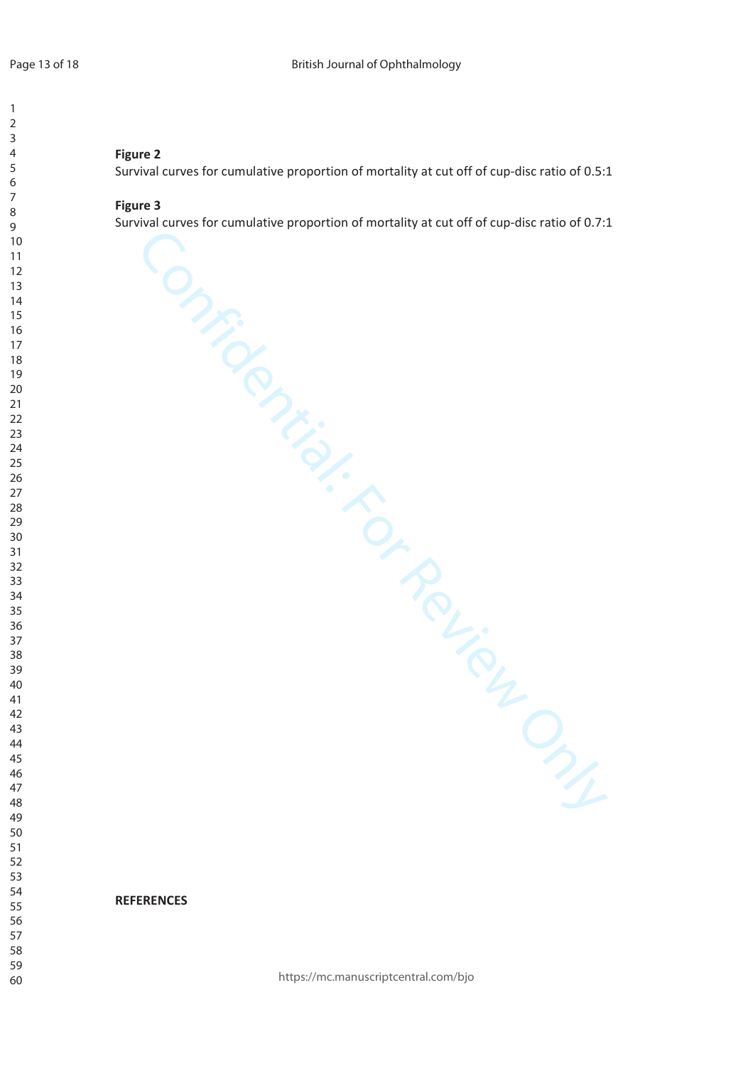## **Figure 2**

Survival curves for cumulative proportion of mortality at cut off of cup-disc ratio of 0.5:1

#### **Figure 3**

Confidential: For Review Only Survival curves for cumulative proportion of mortality at cut off of cup-disc ratio of 0.7:1

**REFERENCES** 

https://mc.manuscriptcentral.com/bjo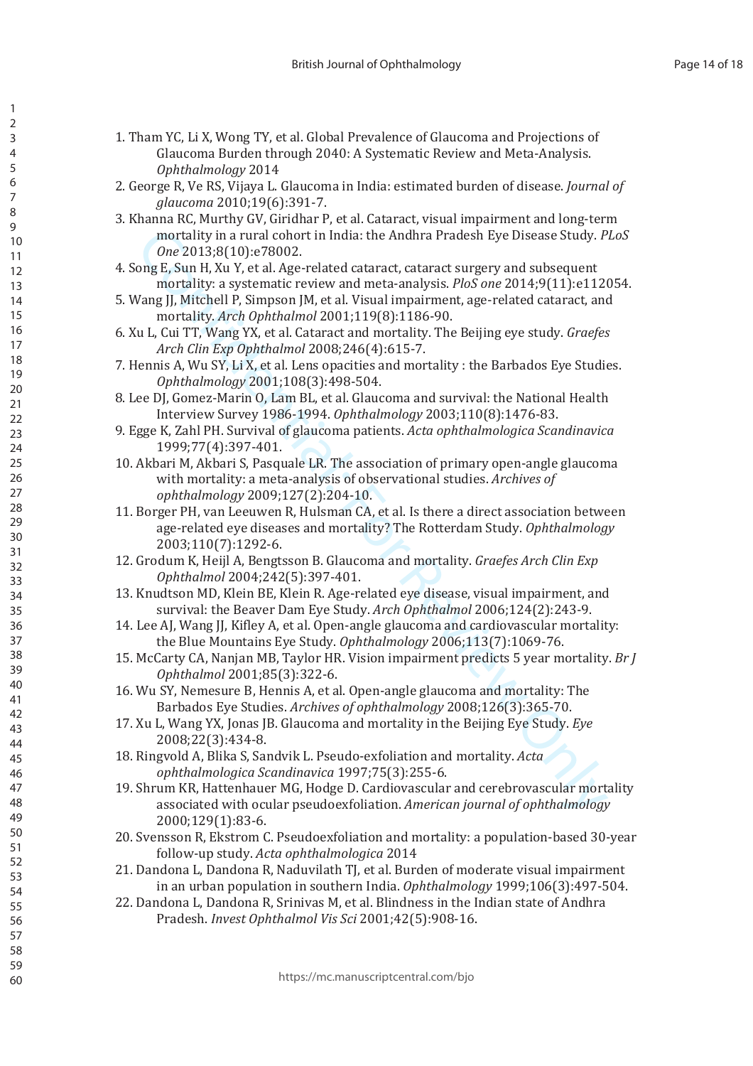- 1. Tham YC, Li X, Wong TY, et al. Global Prevalence of Glaucoma and Projections of Glaucoma Burden through 2040: A Systematic Review and Meta-Analysis. Ophthalmology 2014
- 2. George R, Ve RS, Vijaya L. Glaucoma in India: estimated burden of disease. Journal of glaucoma 2010;19(6):391-7.
- 3. Khanna RC, Murthy GV, Giridhar P, et al. Cataract, visual impairment and long-term mortality in a rural cohort in India: the Andhra Pradesh Eye Disease Study. PLoS One 2013;8(10):e78002.
- 4. Song E, Sun H, Xu Y, et al. Age-related cataract, cataract surgery and subsequent mortality: a systematic review and meta-analysis. PloS one 2014;9(11):e112054.
- 5. Wang JJ, Mitchell P, Simpson JM, et al. Visual impairment, age-related cataract, and mortality. Arch Ophthalmol 2001;119(8):1186-90.
- 6. Xu L, Cui TT, Wang YX, et al. Cataract and mortality. The Beijing eye study. *Graefes* Arch Clin Exp Ophthalmol 2008;246(4):615-7.
- 7. Hennis A, Wu SY, Li X, et al. Lens opacities and mortality : the Barbados Eye Studies. Ophthalmology 2001;108(3):498-504.
- 8. Lee DJ, Gomez-Marin O, Lam BL, et al. Glaucoma and survival: the National Health Interview Survey 1986-1994. Ophthalmology 2003;110(8):1476-83.
- 9. Egge K, Zahl PH. Survival of glaucoma patients. Acta ophthalmologica Scandinavica 1999;77(4):397-401.
- 10. Akbari M, Akbari S, Pasquale LR. The association of primary open-angle glaucoma with mortality: a meta-analysis of observational studies. Archives of ophthalmology 2009;127(2):204-10.
- 11. Borger PH, van Leeuwen R, Hulsman CA, et al. Is there a direct association between age-related eye diseases and mortality? The Rotterdam Study. Ophthalmology 2003;110(7):1292-6.
- 12. Grodum K, Heijl A, Bengtsson B. Glaucoma and mortality. Graefes Arch Clin Exp Ophthalmol 2004;242(5):397-401.
- 13. Knudtson MD, Klein BE, Klein R. Age-related eye disease, visual impairment, and survival: the Beaver Dam Eye Study. Arch Ophthalmol 2006;124(2):243-9.
- 14. Lee AJ, Wang JJ, Kifley A, et al. Open-angle glaucoma and cardiovascular mortality: the Blue Mountains Eye Study. Ophthalmology 2006;113(7):1069-76.
- 15. McCarty CA, Nanjan MB, Taylor HR. Vision impairment predicts 5 year mortality. Br J Ophthalmol 2001:85(3):322-6.
- 16. Wu SY, Nemesure B, Hennis A, et al. Open-angle glaucoma and mortality: The Barbados Eye Studies. Archives of ophthalmology 2008;126(3):365-70.
- 17. Xu L, Wang YX, Jonas JB. Glaucoma and mortality in the Beijing Eye Study. Eye 2008;22(3):434-8.
- 18. Ringvold A, Blika S, Sandvik L. Pseudo-exfoliation and mortality. Acta ophthalmologica Scandinavica 1997;75(3):255-6.
- 19. Shrum KR. Hattenhauer MG. Hodge D. Cardiovascular and cerebrovascular mortality associated with ocular pseudoexfoliation. American journal of ophthalmology 2000;129(1):83-6.
- 20. Svensson R, Ekstrom C. Pseudoexfoliation and mortality: a population-based 30-year follow-up study. Acta ophthalmologica 2014
- 21. Dandona L. Dandona R. Naduvilath TJ, et al. Burden of moderate visual impairment in an urban population in southern India. Ophthalmology  $1999;106(3):497-504$ .
- 22. Dandona L, Dandona R, Srinivas M, et al. Blindness in the Indian state of Andhra Pradesh. Invest Ophthalmol Vis Sci 2001;42(5):908-16.

 $\mathbf{1}$  $\overline{2}$ 

 $\overline{3}$  $\overline{4}$ 

5

6

 $\overline{7}$ 

8

9

 $10$ 

 $11$ 

 $12$ 

 $13$ 

14

 $15$ 16

 $17$ 

 $18$ 

19

20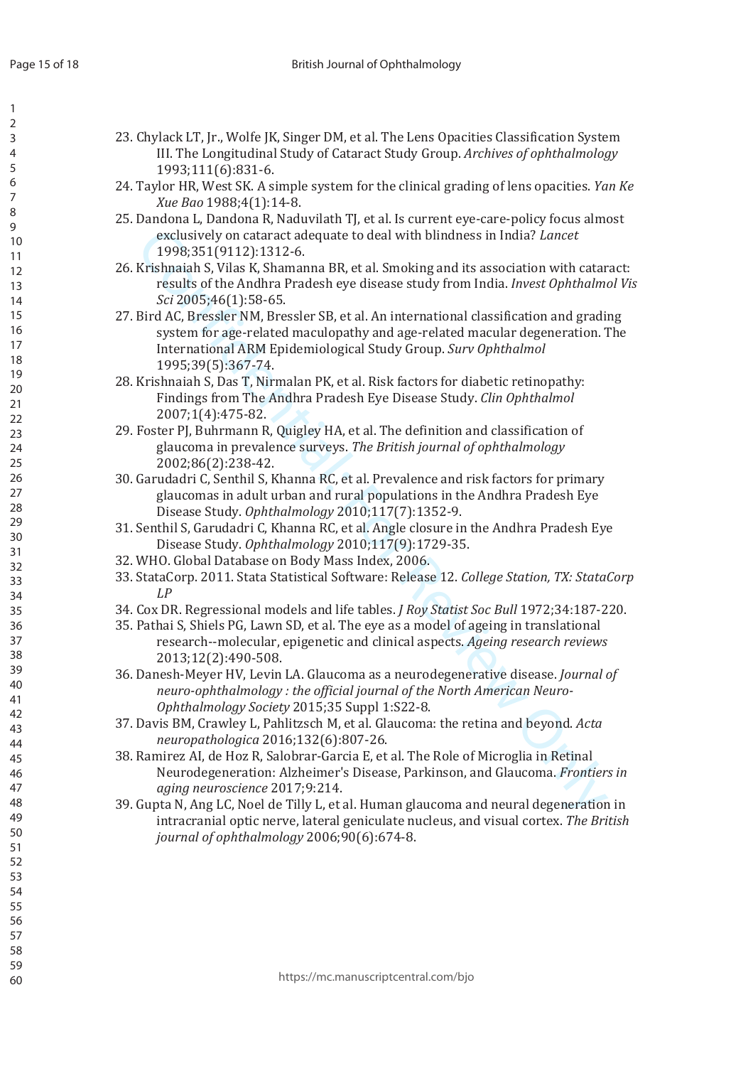$\mathbf{1}$  $\overline{2}$  $\overline{3}$  $\overline{4}$ 5 6

| 23. Chylack LT, Jr., Wolfe JK, Singer DM, et al. The Lens Opacities Classification System |
|-------------------------------------------------------------------------------------------|
| III. The Longitudinal Study of Cataract Study Group. Archives of ophthalmology            |
| 1993;111(6):831-6.                                                                        |

- 24. Taylor HR, West SK. A simple system for the clinical grading of lens opacities. Yan Ke Xue Bao 1988;4(1):14-8.
- 25. Dandona L. Dandona R. Naduvilath TI, et al. Is current eve-care-policy focus almost exclusively on cataract adequate to deal with blindness in India? Lancet 1998;351(9112):1312-6.
- 26. Krishnaiah S, Vilas K, Shamanna BR, et al. Smoking and its association with cataract: results of the Andhra Pradesh eye disease study from India. Invest Ophthalmol Vis Sci 2005;46(1):58-65.
- 27. Bird AC, Bressler NM, Bressler SB, et al. An international classification and grading system for age-related maculopathy and age-related macular degeneration. The International ARM Epidemiological Study Group. Surv Ophthalmol 1995;39(5):367-74.
- 28. Krishnaiah S, Das T, Nirmalan PK, et al. Risk factors for diabetic retinopathy: Findings from The Andhra Pradesh Eve Disease Study. Clin Ophthalmol 2007;1(4):475-82.
- 29. Foster PJ, Buhrmann R, Quigley HA, et al. The definition and classification of glaucoma in prevalence surveys. The British journal of ophthalmology 2002;86(2):238-42.
- 30. Garudadri C, Senthil S, Khanna RC, et al. Prevalence and risk factors for primary glaucomas in adult urban and rural populations in the Andhra Pradesh Eye Disease Study. Ophthalmology 2010;117(7):1352-9.
- 31. Senthil S, Garudadri C, Khanna RC, et al. Angle closure in the Andhra Pradesh Eye Disease Study. Ophthalmology 2010;117(9):1729-35.
- 32. WHO. Global Database on Body Mass Index, 2006.
- 33. StataCorp. 2011. Stata Statistical Software: Release 12. College Station, TX: StataCorp  $I.P$
- 34. Cox DR. Regressional models and life tables. *J Roy Statist Soc Bull* 1972;34:187-220.
- 35. Pathai S, Shiels PG, Lawn SD, et al. The eye as a model of ageing in translational research--molecular, epigenetic and clinical aspects. Ageing research reviews 2013;12(2):490-508.
- 36. Danesh-Mever HV. Levin LA. Glaucoma as a neurodegenerative disease. *Journal of* neuro-ophthalmology: the official journal of the North American Neuro-Ophthalmology Society 2015;35 Suppl 1:S22-8.
- 37. Davis BM, Crawley L, Pahlitzsch M, et al. Glaucoma: the retina and beyond. Acta neuropathologica 2016;132(6):807-26.
- 38. Ramirez AI, de Hoz R, Salobrar-Garcia E, et al. The Role of Microglia in Retinal Neurodegeneration: Alzheimer's Disease, Parkinson, and Glaucoma. Frontiers in aging neuroscience 2017:9:214.
- 39. Gupta N, Ang LC, Noel de Tilly L, et al. Human glaucoma and neural degeneration in intracranial optic nerve, lateral geniculate nucleus, and visual cortex. The British journal of ophthalmology 2006;90(6):674-8.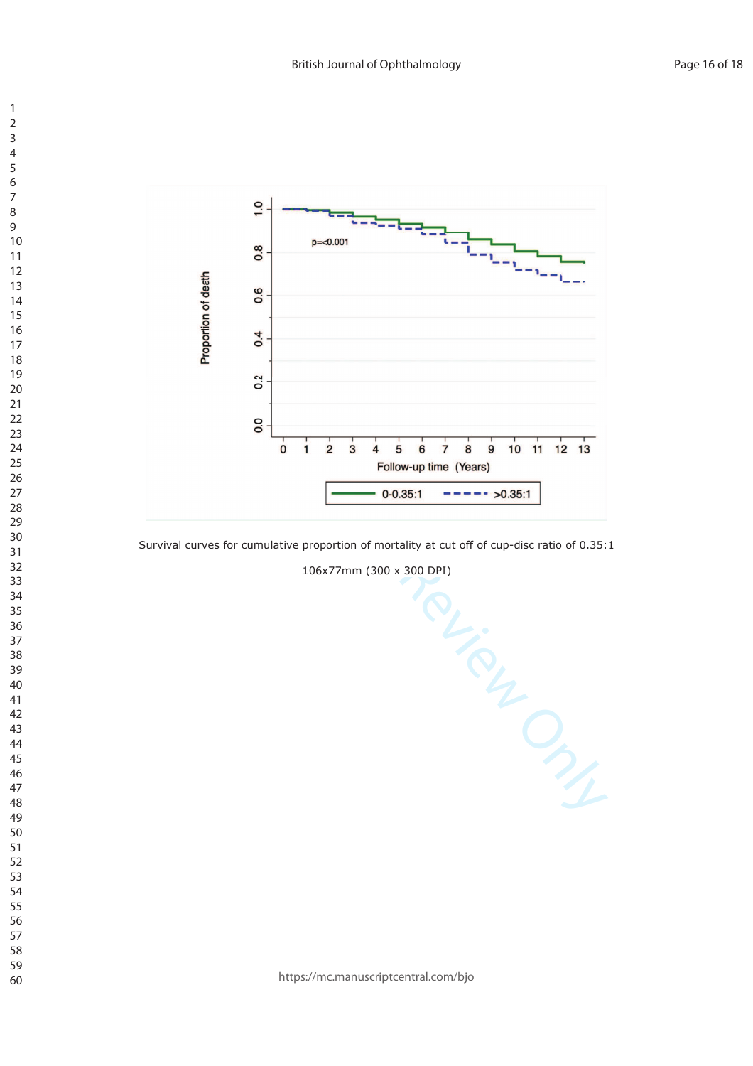

Survival curves for cumulative proportion of mortality at cut off of cup-disc ratio of 0.35:1

106x77mm (300 x 300 DPI)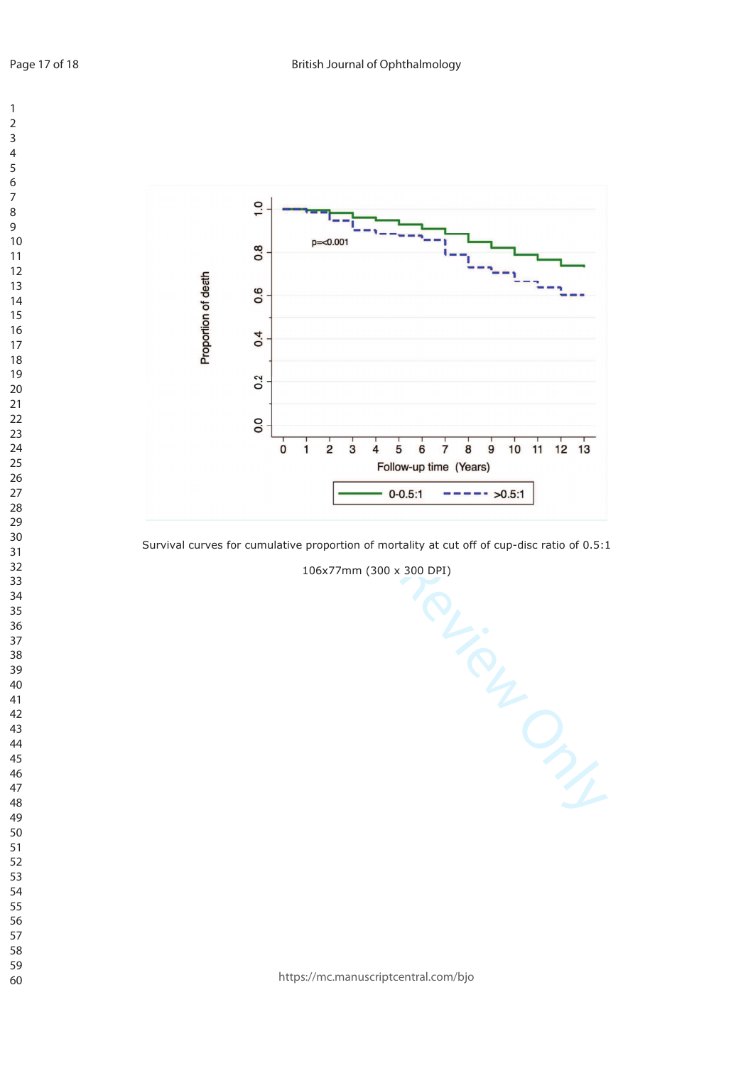

Survival curves for cumulative proportion of mortality at cut off of cup-disc ratio of 0.5:1

106x77mm (300 x 300 DPI)